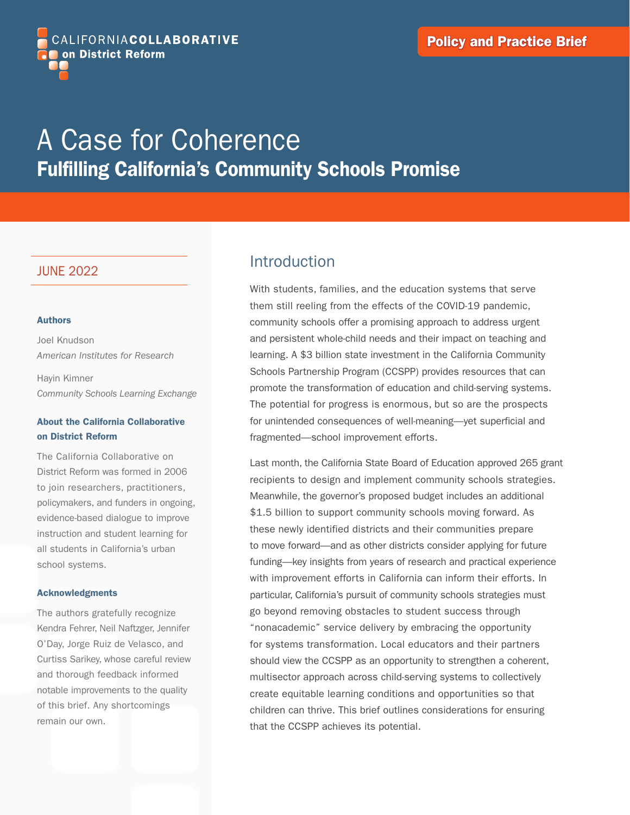

# A Case for Coherence Fulfilling California's Community Schools Promise

### JUNE 2022

#### Authors

Joel Knudson *American Institutes for Research*

Hayin Kimner *Community Schools Learning Exchange*

#### About the California Collaborative on District Reform

The California Collaborative on District Reform was formed in 2006 to join researchers, practitioners, policymakers, and funders in ongoing, evidence-based dialogue to improve instruction and student learning for all students in California's urban school systems.

#### Acknowledgments

The authors gratefully recognize Kendra Fehrer, Neil Naftzger, Jennifer O'Day, Jorge Ruiz de Velasco, and Curtiss Sarikey, whose careful review and thorough feedback informed notable improvements to the quality of this brief. Any shortcomings remain our own.

## Introduction

With students, families, and the education systems that serve them still reeling from the effects of the COVID-19 pandemic, community schools offer a promising approach to address urgent and persistent whole-child needs and their impact on teaching and learning. A \$3 billion state investment in the California Community Schools Partnership Program (CCSPP) provides resources that can promote the transformation of education and child-serving systems. The potential for progress is enormous, but so are the prospects for unintended consequences of well-meaning—yet superficial and fragmented—school improvement efforts.

Last month, the California State Board of Education approved 265 grant recipients to design and implement community schools strategies. Meanwhile, the governor's proposed budget includes an additional \$1.5 billion to support community schools moving forward. As these newly identified districts and their communities prepare to move forward—and as other districts consider applying for future funding—key insights from years of research and practical experience with improvement efforts in California can inform their efforts. In particular, California's pursuit of community schools strategies must go beyond removing obstacles to student success through "nonacademic" service delivery by embracing the opportunity for systems transformation. Local educators and their partners should view the CCSPP as an opportunity to strengthen a coherent, multisector approach across child-serving systems to collectively create equitable learning conditions and opportunities so that children can thrive. This brief outlines considerations for ensuring that the CCSPP achieves its potential.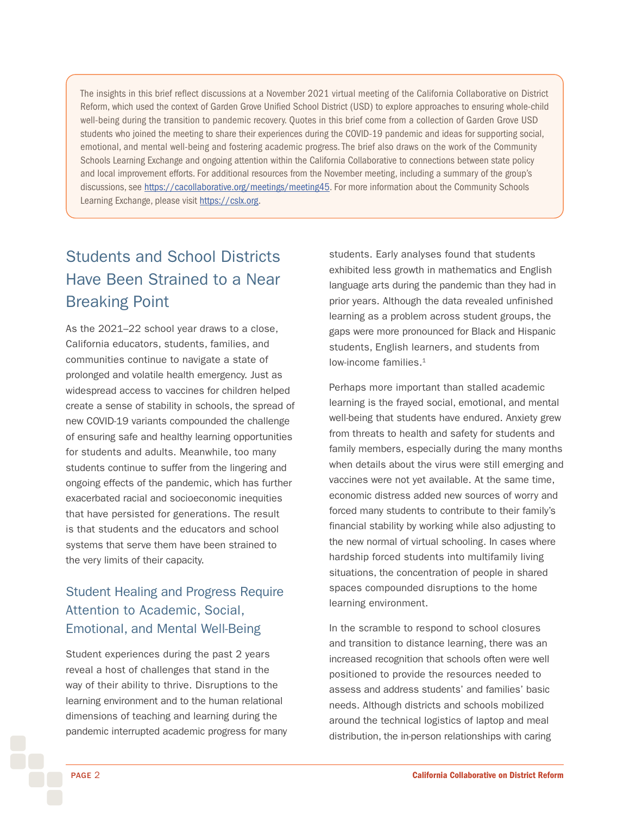<span id="page-1-0"></span>The insights in this brief reflect discussions at a November 2021 virtual meeting of the California Collaborative on District Reform, which used the context of Garden Grove Unified School District (USD) to explore approaches to ensuring whole-child well-being during the transition to pandemic recovery. Quotes in this brief come from a collection of Garden Grove USD students who joined the meeting to share their experiences during the COVID-19 pandemic and ideas for supporting social, emotional, and mental well-being and fostering academic progress. The brief also draws on the work of the Community Schools Learning Exchange and ongoing attention within the California Collaborative to connections between state policy and local improvement efforts. For additional resources from the November meeting, including a summary of the group's discussions, see [https://cacollaborative.org/meetings/meeting45.](https://cacollaborative.org/meetings/meeting45) For more information about the Community Schools Learning Exchange, please visit [https://cslx.org](https://cslx.org/).

# Students and School Districts Have Been Strained to a Near Breaking Point

As the 2021–22 school year draws to a close, California educators, students, families, and communities continue to navigate a state of prolonged and volatile health emergency. Just as widespread access to vaccines for children helped create a sense of stability in schools, the spread of new COVID-19 variants compounded the challenge of ensuring safe and healthy learning opportunities for students and adults. Meanwhile, too many students continue to suffer from the lingering and ongoing effects of the pandemic, which has further exacerbated racial and socioeconomic inequities that have persisted for generations. The result is that students and the educators and school systems that serve them have been strained to the very limits of their capacity.

## Student Healing and Progress Require Attention to Academic, Social, Emotional, and Mental Well-Being

Student experiences during the past 2 years reveal a host of challenges that stand in the way of their ability to thrive. Disruptions to the learning environment and to the human relational dimensions of teaching and learning during the pandemic interrupted academic progress for many

students. Early analyses found that students exhibited less growth in mathematics and English language arts during the pandemic than they had in prior years. Although the data revealed unfinished learning as a problem across student groups, the gaps were more pronounced for Black and Hispanic students, English learners, and students from low-income families.<sup>[1](#page-11-0)</sup>

Perhaps more important than stalled academic learning is the frayed social, emotional, and mental well-being that students have endured. Anxiety grew from threats to health and safety for students and family members, especially during the many months when details about the virus were still emerging and vaccines were not yet available. At the same time, economic distress added new sources of worry and forced many students to contribute to their family's financial stability by working while also adjusting to the new normal of virtual schooling. In cases where hardship forced students into multifamily living situations, the concentration of people in shared spaces compounded disruptions to the home learning environment.

In the scramble to respond to school closures and transition to distance learning, there was an increased recognition that schools often were well positioned to provide the resources needed to assess and address students' and families' basic needs. Although districts and schools mobilized around the technical logistics of laptop and meal distribution, the in-person relationships with caring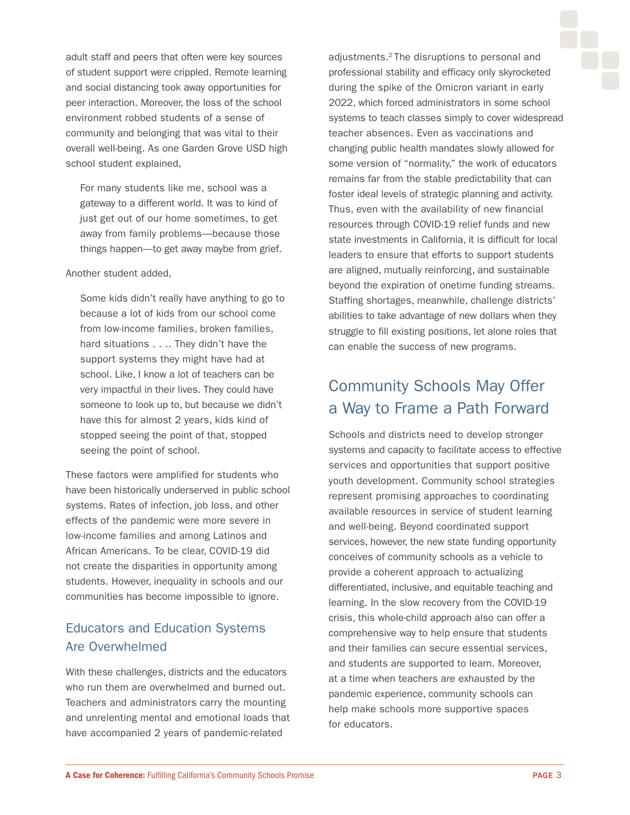<span id="page-2-0"></span>adult staff and peers that often were key sources of student support were crippled. Remote learning and social distancing took away opportunities for peer interaction. Moreover, the loss of the school environment robbed students of a sense of community and belonging that was vital to their overall well-being. As one Garden Grove USD high school student explained,

For many students like me, school was a gateway to a different world. It was to kind of just get out of our home sometimes, to get away from family problems—because those things happen—to get away maybe from grief.

#### Another student added,

Some kids didn't really have anything to go to because a lot of kids from our school come from low-income families, broken families, hard situations . . . . They didn't have the support systems they might have had at school. Like, I know a lot of teachers can be very impactful in their lives. They could have someone to look up to, but because we didn't have this for almost 2 years, kids kind of stopped seeing the point of that, stopped seeing the point of school.

These factors were amplified for students who have been historically underserved in public school systems. Rates of infection, job loss, and other effects of the pandemic were more severe in low-income families and among Latinos and African Americans. To be clear, COVID-19 did not create the disparities in opportunity among students. However, inequality in schools and our communities has become impossible to ignore.

### Educators and Education Systems Are Overwhelmed

With these challenges, districts and the educators who run them are overwhelmed and burned out. Teachers and administrators carry the mounting and unrelenting mental and emotional loads that have accompanied 2 years of pandemic-related

adjustments.[2](#page-11-0) The disruptions to personal and professional stability and efficacy only skyrocketed during the spike of the Omicron variant in early 2022, which forced administrators in some school systems to teach classes simply to cover widespread teacher absences. Even as vaccinations and changing public health mandates slowly allowed for some version of "normality," the work of educators remains far from the stable predictability that can foster ideal levels of strategic planning and activity. Thus, even with the availability of new financial resources through COVID-19 relief funds and new state investments in California, it is difficult for local leaders to ensure that efforts to support students are aligned, mutually reinforcing, and sustainable beyond the expiration of onetime funding streams. Staffing shortages, meanwhile, challenge districts' abilities to take advantage of new dollars when they struggle to fill existing positions, let alone roles that can enable the success of new programs.

## Community Schools May Offer a Way to Frame a Path Forward

Schools and districts need to develop stronger systems and capacity to facilitate access to effective services and opportunities that support positive youth development. Community school strategies represent promising approaches to coordinating available resources in service of student learning and well-being. Beyond coordinated support services, however, the new state funding opportunity conceives of community schools as a vehicle to provide a coherent approach to actualizing differentiated, inclusive, and equitable teaching and learning. In the slow recovery from the COVID-19 crisis, this whole-child approach also can offer a comprehensive way to help ensure that students and their families can secure essential services, and students are supported to learn. Moreover, at a time when teachers are exhausted by the pandemic experience, community schools can help make schools more supportive spaces for educators.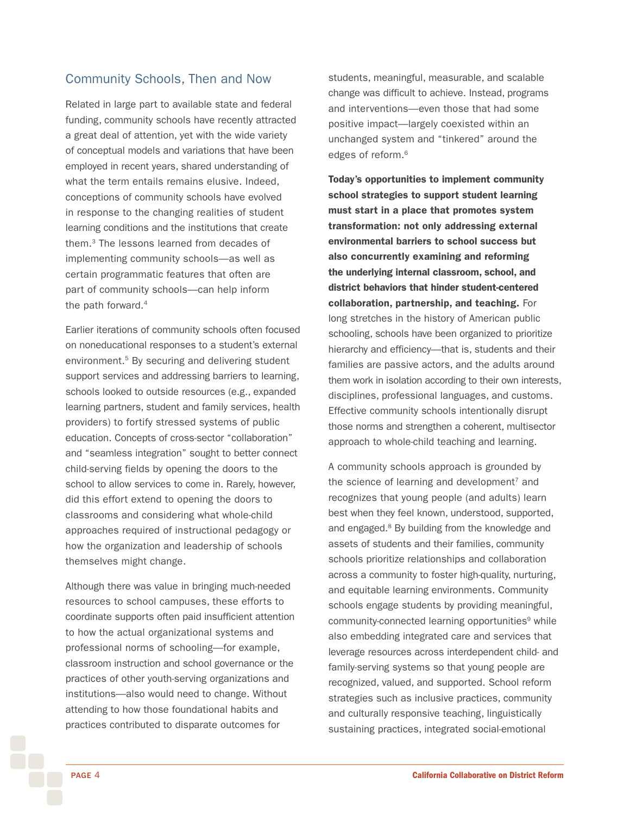### <span id="page-3-0"></span>Community Schools, Then and Now

Related in large part to available state and federal funding, community schools have recently attracted a great deal of attention, yet with the wide variety of conceptual models and variations that have been employed in recent years, shared understanding of what the term entails remains elusive. Indeed, conceptions of community schools have evolved in response to the changing realities of student learning conditions and the institutions that create them[.3](#page-11-0) The lessons learned from decades of implementing community schools—as well as certain programmatic features that often are part of community schools—can help inform the path forward.<sup>[4](#page-11-0)</sup>

Earlier iterations of community schools often focused on noneducational responses to a student's external environment.[5](#page-11-0) By securing and delivering student support services and addressing barriers to learning, schools looked to outside resources (e.g., expanded learning partners, student and family services, health providers) to fortify stressed systems of public education. Concepts of cross-sector "collaboration" and "seamless integration" sought to better connect child-serving fields by opening the doors to the school to allow services to come in. Rarely, however, did this effort extend to opening the doors to classrooms and considering what whole-child approaches required of instructional pedagogy or how the organization and leadership of schools themselves might change.

Although there was value in bringing much-needed resources to school campuses, these efforts to coordinate supports often paid insufficient attention to how the actual organizational systems and professional norms of schooling—for example, classroom instruction and school governance or the practices of other youth-serving organizations and institutions—also would need to change. Without attending to how those foundational habits and practices contributed to disparate outcomes for

students, meaningful, measurable, and scalable change was difficult to achieve. Instead, programs and interventions—even those that had some positive impact—largely coexisted within an unchanged system and "tinkered" around the edges of reform.<sup>6</sup>

Today's opportunities to implement community school strategies to support student learning must start in a place that promotes system transformation: not only addressing external environmental barriers to school success but also concurrently examining and reforming the underlying internal classroom, school, and district behaviors that hinder student-centered collaboration, partnership, and teaching. For long stretches in the history of American public schooling, schools have been organized to prioritize hierarchy and efficiency—that is, students and their families are passive actors, and the adults around them work in isolation according to their own interests, disciplines, professional languages, and customs. Effective community schools intentionally disrupt those norms and strengthen a coherent, multisector approach to whole-child teaching and learning.

A community schools approach is grounded by the science of learning and development<sup>[7](#page-11-0)</sup> and recognizes that young people (and adults) learn best when they feel known, understood, supported, and engaged.<sup>8</sup> By building from the knowledge and assets of students and their families, community schools prioritize relationships and collaboration across a community to foster high-quality, nurturing, and equitable learning environments. Community schools engage students by providing meaningful, community-connected learning opportunities<sup>9</sup> while also embedding integrated care and services that leverage resources across interdependent child- and family-serving systems so that young people are recognized, valued, and supported. School reform strategies such as inclusive practices, community and culturally responsive teaching, linguistically sustaining practices, integrated social-emotional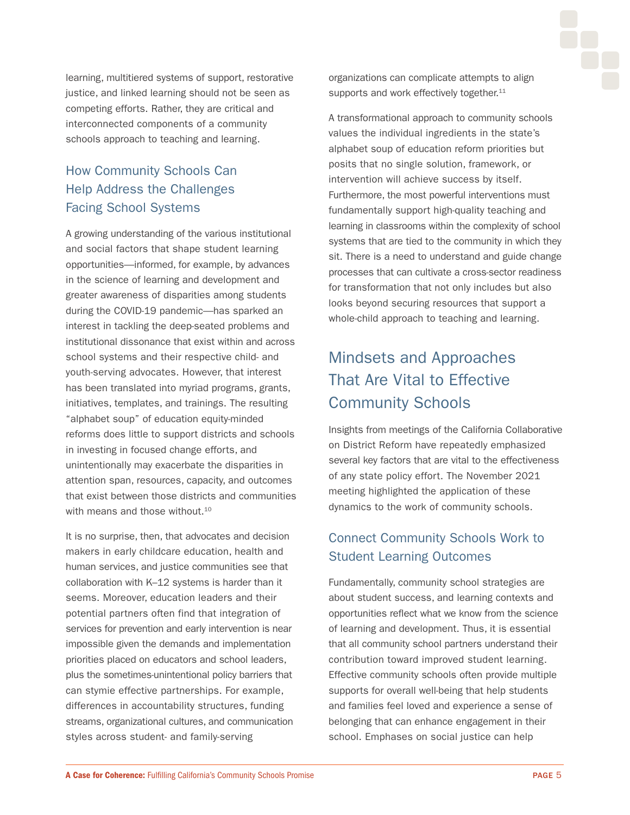

<span id="page-4-0"></span>learning, multitiered systems of support, restorative justice, and linked learning should not be seen as competing efforts. Rather, they are critical and interconnected components of a community schools approach to teaching and learning.

## How Community Schools Can Help Address the Challenges Facing School Systems

A growing understanding of the various institutional and social factors that shape student learning opportunities—informed, for example, by advances in the science of learning and development and greater awareness of disparities among students during the COVID-19 pandemic—has sparked an interest in tackling the deep-seated problems and institutional dissonance that exist within and across school systems and their respective child- and youth-serving advocates. However, that interest has been translated into myriad programs, grants, initiatives, templates, and trainings. The resulting "alphabet soup" of education equity-minded reforms does little to support districts and schools in investing in focused change efforts, and unintentionally may exacerbate the disparities in attention span, resources, capacity, and outcomes that exist between those districts and communities with means and those without.<sup>[10](#page-11-0)</sup>

It is no surprise, then, that advocates and decision makers in early childcare education, health and human services, and justice communities see that collaboration with K–12 systems is harder than it seems. Moreover, education leaders and their potential partners often find that integration of services for prevention and early intervention is near impossible given the demands and implementation priorities placed on educators and school leaders, plus the sometimes-unintentional policy barriers that can stymie effective partnerships. For example, differences in accountability structures, funding streams, organizational cultures, and communication styles across student- and family-serving

organizations can complicate attempts to align supports and work effectively together.<sup>[11](#page-11-0)</sup>

A transformational approach to community schools values the individual ingredients in the state's alphabet soup of education reform priorities but posits that no single solution, framework, or intervention will achieve success by itself. Furthermore, the most powerful interventions must fundamentally support high-quality teaching and learning in classrooms within the complexity of school systems that are tied to the community in which they sit. There is a need to understand and guide change processes that can cultivate a cross-sector readiness for transformation that not only includes but also looks beyond securing resources that support a whole-child approach to teaching and learning.

# Mindsets and Approaches That Are Vital to Effective Community Schools

Insights from meetings of the California Collaborative on District Reform have repeatedly emphasized several key factors that are vital to the effectiveness of any state policy effort. The November 2021 meeting highlighted the application of these dynamics to the work of community schools.

## Connect Community Schools Work to Student Learning Outcomes

Fundamentally, community school strategies are about student success, and learning contexts and opportunities reflect what we know from the science of learning and development. Thus, it is essential that all community school partners understand their contribution toward improved student learning. Effective community schools often provide multiple supports for overall well-being that help students and families feel loved and experience a sense of belonging that can enhance engagement in their school. Emphases on social justice can help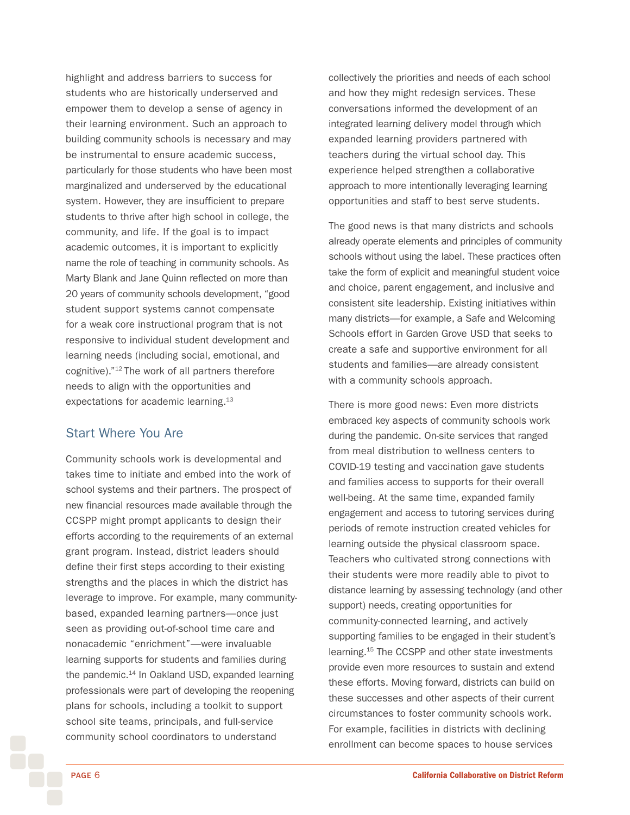<span id="page-5-0"></span>highlight and address barriers to success for students who are historically underserved and empower them to develop a sense of agency in their learning environment. Such an approach to building community schools is necessary and may be instrumental to ensure academic success, particularly for those students who have been most marginalized and underserved by the educational system. However, they are insufficient to prepare students to thrive after high school in college, the community, and life. If the goal is to impact academic outcomes, it is important to explicitly name the role of teaching in community schools. As Marty Blank and Jane Quinn reflected on more than 20 years of community schools development, "good student support systems cannot compensate for a weak core instructional program that is not responsive to individual student development and learning needs (including social, emotional, and cognitive)."[12](#page-11-0) The work of all partners therefore needs to align with the opportunities and expectations for academic learning.<sup>[13](#page-11-0)</sup>

### Start Where You Are

Community schools work is developmental and takes time to initiate and embed into the work of school systems and their partners. The prospect of new financial resources made available through the CCSPP might prompt applicants to design their efforts according to the requirements of an external grant program. Instead, district leaders should define their first steps according to their existing strengths and the places in which the district has leverage to improve. For example, many communitybased, expanded learning partners—once just seen as providing out-of-school time care and nonacademic "enrichment"—were invaluable learning supports for students and families during the pandemic.<sup>14</sup> In Oakland USD, expanded learning professionals were part of developing the reopening plans for schools, including a toolkit to support school site teams, principals, and full-service community school coordinators to understand

collectively the priorities and needs of each school and how they might redesign services. These conversations informed the development of an integrated learning delivery model through which expanded learning providers partnered with teachers during the virtual school day. This experience helped strengthen a collaborative approach to more intentionally leveraging learning opportunities and staff to best serve students.

The good news is that many districts and schools already operate elements and principles of community schools without using the label. These practices often take the form of explicit and meaningful student voice and choice, parent engagement, and inclusive and consistent site leadership. Existing initiatives within many districts—for example, a Safe and Welcoming Schools effort in Garden Grove USD that seeks to create a safe and supportive environment for all students and families—are already consistent with a community schools approach.

There is more good news: Even more districts embraced key aspects of community schools work during the pandemic. On-site services that ranged from meal distribution to wellness centers to COVID-19 testing and vaccination gave students and families access to supports for their overall well-being. At the same time, expanded family engagement and access to tutoring services during periods of remote instruction created vehicles for learning outside the physical classroom space. Teachers who cultivated strong connections with their students were more readily able to pivot to distance learning by assessing technology (and other support) needs, creating opportunities for community-connected learning, and actively supporting families to be engaged in their student's learning[.15](#page-11-0) The CCSPP and other state investments provide even more resources to sustain and extend these efforts. Moving forward, districts can build on these successes and other aspects of their current circumstances to foster community schools work. For example, facilities in districts with declining enrollment can become spaces to house services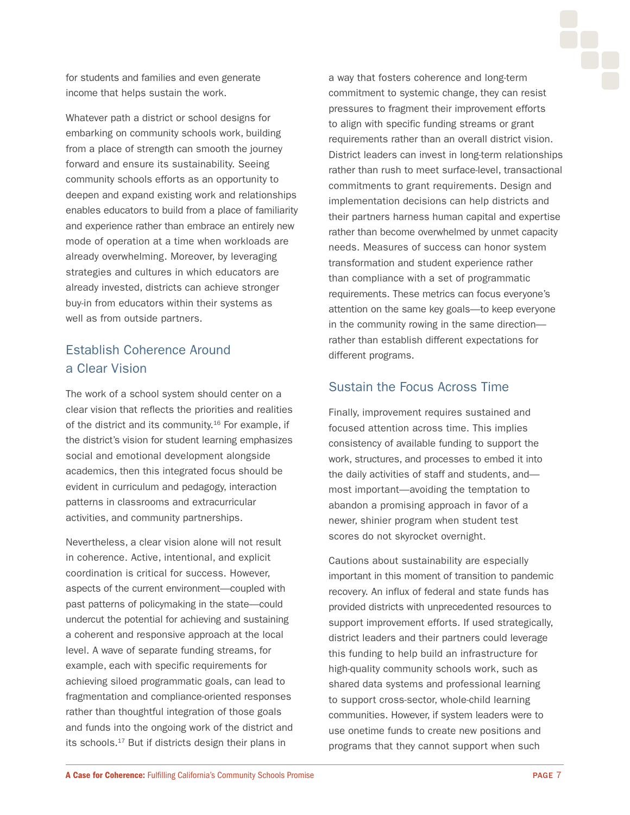<span id="page-6-0"></span>for students and families and even generate income that helps sustain the work.

Whatever path a district or school designs for embarking on community schools work, building from a place of strength can smooth the journey forward and ensure its sustainability. Seeing community schools efforts as an opportunity to deepen and expand existing work and relationships enables educators to build from a place of familiarity and experience rather than embrace an entirely new mode of operation at a time when workloads are already overwhelming. Moreover, by leveraging strategies and cultures in which educators are already invested, districts can achieve stronger buy-in from educators within their systems as well as from outside partners.

## Establish Coherence Around a Clear Vision

The work of a school system should center on a clear vision that reflects the priorities and realities of the district and its community.<sup>16</sup> For example, if the district's vision for student learning emphasizes social and emotional development alongside academics, then this integrated focus should be evident in curriculum and pedagogy, interaction patterns in classrooms and extracurricular activities, and community partnerships.

Nevertheless, a clear vision alone will not result in coherence. Active, intentional, and explicit coordination is critical for success. However, aspects of the current environment—coupled with past patterns of policymaking in the state—could undercut the potential for achieving and sustaining a coherent and responsive approach at the local level. A wave of separate funding streams, for example, each with specific requirements for achieving siloed programmatic goals, can lead to fragmentation and compliance-oriented responses rather than thoughtful integration of those goals and funds into the ongoing work of the district and its schools.[17](#page-11-0) But if districts design their plans in

a way that fosters coherence and long-term commitment to systemic change, they can resist pressures to fragment their improvement efforts to align with specific funding streams or grant requirements rather than an overall district vision. District leaders can invest in long-term relationships rather than rush to meet surface-level, transactional commitments to grant requirements. Design and implementation decisions can help districts and their partners harness human capital and expertise rather than become overwhelmed by unmet capacity needs. Measures of success can honor system transformation and student experience rather than compliance with a set of programmatic requirements. These metrics can focus everyone's attention on the same key goals—to keep everyone in the community rowing in the same direction rather than establish different expectations for different programs.

### Sustain the Focus Across Time

Finally, improvement requires sustained and focused attention across time. This implies consistency of available funding to support the work, structures, and processes to embed it into the daily activities of staff and students, and most important—avoiding the temptation to abandon a promising approach in favor of a newer, shinier program when student test scores do not skyrocket overnight.

Cautions about sustainability are especially important in this moment of transition to pandemic recovery. An influx of federal and state funds has provided districts with unprecedented resources to support improvement efforts. If used strategically, district leaders and their partners could leverage this funding to help build an infrastructure for high-quality community schools work, such as shared data systems and professional learning to support cross-sector, whole-child learning communities. However, if system leaders were to use onetime funds to create new positions and programs that they cannot support when such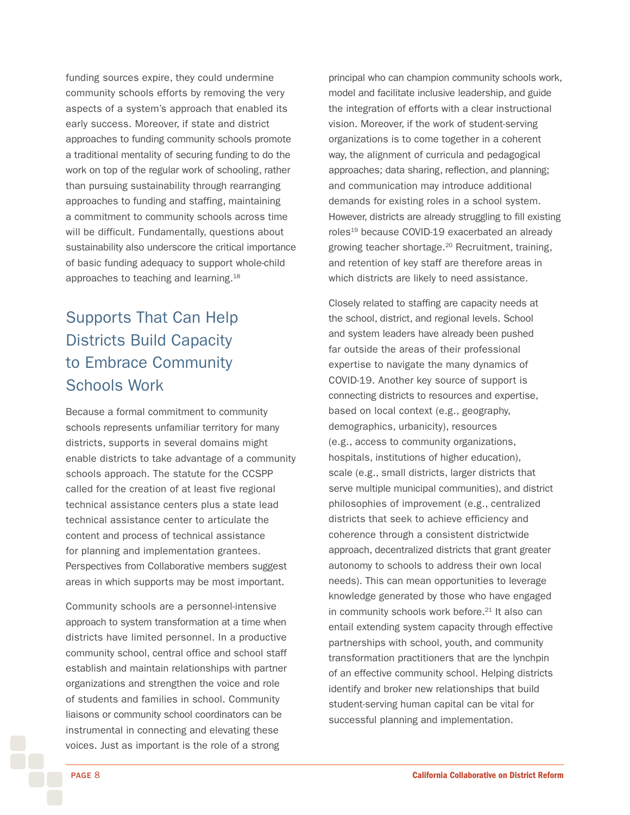<span id="page-7-0"></span>funding sources expire, they could undermine community schools efforts by removing the very aspects of a system's approach that enabled its early success. Moreover, if state and district approaches to funding community schools promote a traditional mentality of securing funding to do the work on top of the regular work of schooling, rather than pursuing sustainability through rearranging approaches to funding and staffing, maintaining a commitment to community schools across time will be difficult. Fundamentally, questions about sustainability also underscore the critical importance of basic funding adequacy to support whole-child approaches to teaching and learning.[18](#page-11-0)

# Supports That Can Help Districts Build Capacity to Embrace Community Schools Work

Because a formal commitment to community schools represents unfamiliar territory for many districts, supports in several domains might enable districts to take advantage of a community schools approach. The statute for the CCSPP called for the creation of at least five regional technical assistance centers plus a state lead technical assistance center to articulate the content and process of technical assistance for planning and implementation grantees. Perspectives from Collaborative members suggest areas in which supports may be most important.

Community schools are a personnel-intensive approach to system transformation at a time when districts have limited personnel. In a productive community school, central office and school staff establish and maintain relationships with partner organizations and strengthen the voice and role of students and families in school. Community liaisons or community school coordinators can be instrumental in connecting and elevating these voices. Just as important is the role of a strong

principal who can champion community schools work, model and facilitate inclusive leadership, and guide the integration of efforts with a clear instructional vision. Moreover, if the work of student-serving organizations is to come together in a coherent way, the alignment of curricula and pedagogical approaches; data sharing, reflection, and planning; and communication may introduce additional demands for existing roles in a school system. However, districts are already struggling to fill existing roles<sup>19</sup> because COVID-19 exacerbated an already growing teacher shortage.[20](#page-11-0) Recruitment, training, and retention of key staff are therefore areas in which districts are likely to need assistance.

Closely related to staffing are capacity needs at the school, district, and regional levels. School and system leaders have already been pushed far outside the areas of their professional expertise to navigate the many dynamics of COVID-19. Another key source of support is connecting districts to resources and expertise, based on local context (e.g., geography, demographics, urbanicity), resources (e.g., access to community organizations, hospitals, institutions of higher education), scale (e.g., small districts, larger districts that serve multiple municipal communities), and district philosophies of improvement (e.g., centralized districts that seek to achieve efficiency and coherence through a consistent districtwide approach, decentralized districts that grant greater autonomy to schools to address their own local needs). This can mean opportunities to leverage knowledge generated by those who have engaged in community schools work before.<sup>21</sup> It also can entail extending system capacity through effective partnerships with school, youth, and community transformation practitioners that are the lynchpin of an effective community school. Helping districts identify and broker new relationships that build student-serving human capital can be vital for successful planning and implementation.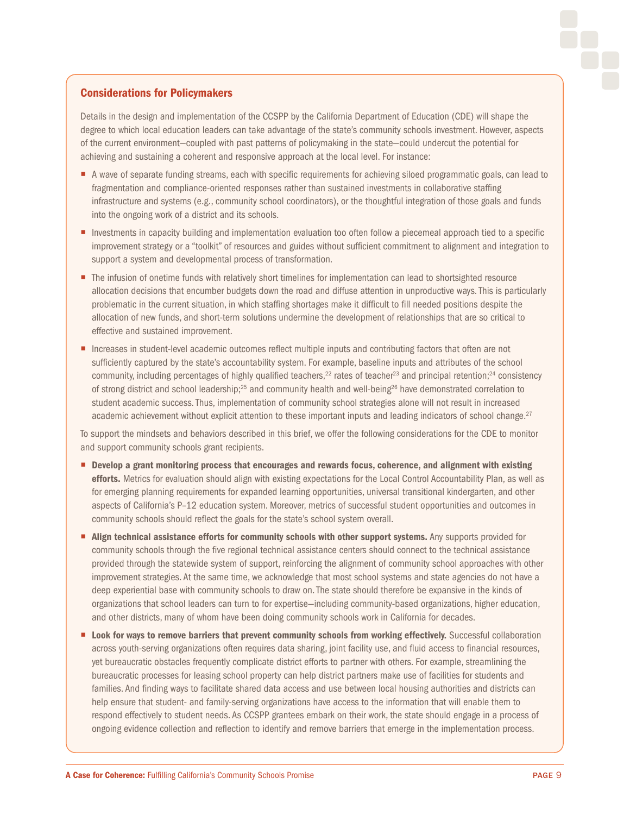#### <span id="page-8-0"></span>Considerations for Policymakers

Details in the design and implementation of the CCSPP by the California Department of Education (CDE) will shape the degree to which local education leaders can take advantage of the state's community schools investment. However, aspects of the current environment—coupled with past patterns of policymaking in the state—could undercut the potential for achieving and sustaining a coherent and responsive approach at the local level. For instance:

- ¡ A wave of separate funding streams, each with specific requirements for achieving siloed programmatic goals, can lead to fragmentation and compliance-oriented responses rather than sustained investments in collaborative staffing infrastructure and systems (e.g., community school coordinators), or the thoughtful integration of those goals and funds into the ongoing work of a district and its schools.
- **Investments in capacity building and implementation evaluation too often follow a piecemeal approach tied to a specific** improvement strategy or a "toolkit" of resources and guides without sufficient commitment to alignment and integration to support a system and developmental process of transformation.
- The infusion of onetime funds with relatively short timelines for implementation can lead to shortsighted resource allocation decisions that encumber budgets down the road and diffuse attention in unproductive ways. This is particularly problematic in the current situation, in which staffing shortages make it difficult to fill needed positions despite the allocation of new funds, and short-term solutions undermine the development of relationships that are so critical to effective and sustained improvement.
- Increases in student-level academic outcomes reflect multiple inputs and contributing factors that often are not sufficiently captured by the state's accountability system. For example, baseline inputs and attributes of the school community, including percentages of highly qualified teachers,<sup>22</sup> rates of teacher<sup>23</sup> and principal retention;<sup>24</sup> consistency of strong district and school leadership;<sup>25</sup> and community health and well-being<sup>26</sup> have demonstrated correlation to student academic success. Thus, implementation of community school strategies alone will not result in increased academic achievement without explicit attention to these important inputs and leading indicators of school change.<sup>27</sup>

To support the mindsets and behaviors described in this brief, we offer the following considerations for the CDE to monitor and support community schools grant recipients.

- **Develop a grant monitoring process that encourages and rewards focus, coherence, and alignment with existing** efforts. Metrics for evaluation should align with existing expectations for the Local Control Accountability Plan, as well as for emerging planning requirements for expanded learning opportunities, universal transitional kindergarten, and other aspects of California's P–12 education system. Moreover, metrics of successful student opportunities and outcomes in community schools should reflect the goals for the state's school system overall.
- Align technical assistance efforts for community schools with other support systems. Any supports provided for community schools through the five regional technical assistance centers should connect to the technical assistance provided through the statewide system of support, reinforcing the alignment of community school approaches with other improvement strategies. At the same time, we acknowledge that most school systems and state agencies do not have a deep experiential base with community schools to draw on. The state should therefore be expansive in the kinds of organizations that school leaders can turn to for expertise—including community-based organizations, higher education, and other districts, many of whom have been doing community schools work in California for decades.
- Look for ways to remove barriers that prevent community schools from working effectively. Successful collaboration across youth-serving organizations often requires data sharing, joint facility use, and fluid access to financial resources, yet bureaucratic obstacles frequently complicate district efforts to partner with others. For example, streamlining the bureaucratic processes for leasing school property can help district partners make use of facilities for students and families. And finding ways to facilitate shared data access and use between local housing authorities and districts can help ensure that student- and family-serving organizations have access to the information that will enable them to respond effectively to student needs. As CCSPP grantees embark on their work, the state should engage in a process of ongoing evidence collection and reflection to identify and remove barriers that emerge in the implementation process.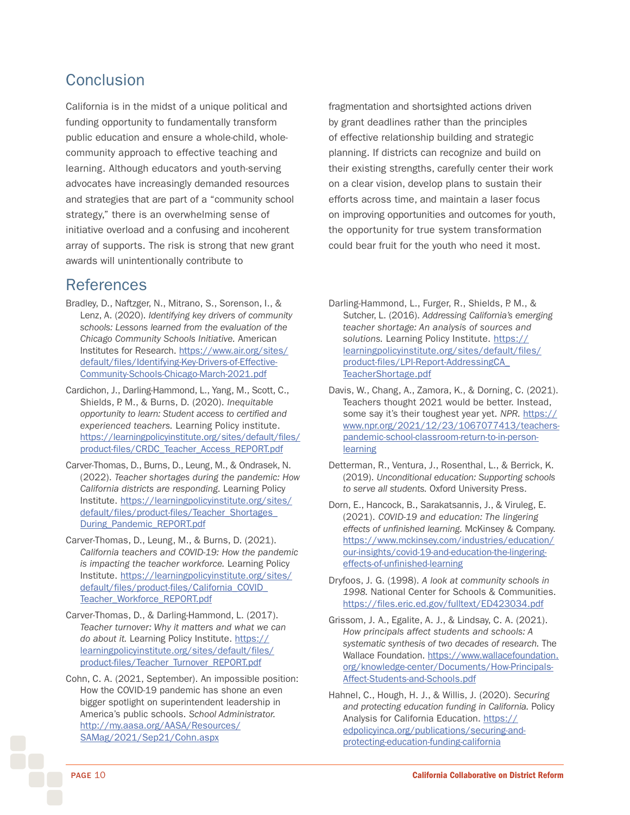## **Conclusion**

California is in the midst of a unique political and funding opportunity to fundamentally transform public education and ensure a whole-child, wholecommunity approach to effective teaching and learning. Although educators and youth-serving advocates have increasingly demanded resources and strategies that are part of a "community school strategy," there is an overwhelming sense of initiative overload and a confusing and incoherent array of supports. The risk is strong that new grant awards will unintentionally contribute to

## References

- Bradley, D., Naftzger, N., Mitrano, S., Sorenson, I., & Lenz, A. (2020). *Identifying key drivers of community schools: Lessons learned from the evaluation of the Chicago Community Schools Initiative.* American Institutes for Research. [https://www.air.org/sites/](https://www.air.org/sites/default/files/Identifying-Key-Drivers-of-Effective-Community-Schools-Chicago-March-2021.pdf) [default/files/Identifying-Key-Drivers-of-Effective-](https://www.air.org/sites/default/files/Identifying-Key-Drivers-of-Effective-Community-Schools-Chicago-March-2021.pdf)[Community-Schools-Chicago-March-2021.pdf](https://www.air.org/sites/default/files/Identifying-Key-Drivers-of-Effective-Community-Schools-Chicago-March-2021.pdf)
- Cardichon, J., Darling-Hammond, L., Yang, M., Scott, C., Shields, P. M., & Burns, D. (2020). *Inequitable opportunity to learn: Student access to certified and experienced teachers.* Learning Policy institute. [https://learningpolicyinstitute.org/sites/default/files/](https://learningpolicyinstitute.org/sites/default/files/product-files/CRDC_Teacher_Access_REPORT.pdf) [product-files/CRDC\\_Teacher\\_Access\\_REPORT.pdf](https://learningpolicyinstitute.org/sites/default/files/product-files/CRDC_Teacher_Access_REPORT.pdf)
- Carver-Thomas, D., Burns, D., Leung, M., & Ondrasek, N. (2022). *Teacher shortages during the pandemic: How California districts are responding.* Learning Policy Institute. [https://learningpolicyinstitute.org/sites/](https://learningpolicyinstitute.org/sites/default/files/product-files/Teacher_Shortages_During_Pandemic_REPORT.pdf) [default/files/product-files/Teacher\\_Shortages\\_](https://learningpolicyinstitute.org/sites/default/files/product-files/Teacher_Shortages_During_Pandemic_REPORT.pdf) [During\\_Pandemic\\_REPORT.pdf](https://learningpolicyinstitute.org/sites/default/files/product-files/Teacher_Shortages_During_Pandemic_REPORT.pdf)
- Carver-Thomas, D., Leung, M., & Burns, D. (2021). *California teachers and COVID-19: How the pandemic is impacting the teacher workforce.* Learning Policy Institute. [https://learningpolicyinstitute.org/sites/](https://learningpolicyinstitute.org/sites/default/files/product-files/California_COVID_Teacher_Workforce_REPORT.pdf) [default/files/product-files/California\\_COVID\\_](https://learningpolicyinstitute.org/sites/default/files/product-files/California_COVID_Teacher_Workforce_REPORT.pdf) [Teacher\\_Workforce\\_REPORT.pdf](https://learningpolicyinstitute.org/sites/default/files/product-files/California_COVID_Teacher_Workforce_REPORT.pdf)
- Carver-Thomas, D., & Darling-Hammond, L. (2017). *Teacher turnover: Why it matters and what we can*  do about it. Learning Policy Institute. [https://](https://learningpolicyinstitute.org/sites/default/files/product-files/Teacher_Turnover_REPORT.pdf) [learningpolicyinstitute.org/sites/default/files/](https://learningpolicyinstitute.org/sites/default/files/product-files/Teacher_Turnover_REPORT.pdf) [product-files/Teacher\\_Turnover\\_REPORT.pdf](https://learningpolicyinstitute.org/sites/default/files/product-files/Teacher_Turnover_REPORT.pdf)
- Cohn, C. A. (2021, September). An impossible position: How the COVID-19 pandemic has shone an even bigger spotlight on superintendent leadership in America's public schools. *School Administrator.* [http://my.aasa.org/AASA/Resources/](http://my.aasa.org/AASA/Resources/SAMag/2021/Sep21/Cohn.aspx) [SAMag/2021/Sep21/Cohn.aspx](http://my.aasa.org/AASA/Resources/SAMag/2021/Sep21/Cohn.aspx)

fragmentation and shortsighted actions driven by grant deadlines rather than the principles of effective relationship building and strategic planning. If districts can recognize and build on their existing strengths, carefully center their work on a clear vision, develop plans to sustain their efforts across time, and maintain a laser focus on improving opportunities and outcomes for youth, the opportunity for true system transformation could bear fruit for the youth who need it most.

- Darling-Hammond, L., Furger, R., Shields, P. M., & Sutcher, L. (2016). *Addressing California's emerging teacher shortage: An analysis of sources and solutions.* Learning Policy Institute. [https://](https://learningpolicyinstitute.org/sites/default/files/product-files/LPI-Report-AddressingCA_TeacherShortage.pdf) [learningpolicyinstitute.org/sites/default/files/](https://learningpolicyinstitute.org/sites/default/files/product-files/LPI-Report-AddressingCA_TeacherShortage.pdf) [product-files/LPI-Report-AddressingCA\\_](https://learningpolicyinstitute.org/sites/default/files/product-files/LPI-Report-AddressingCA_TeacherShortage.pdf) [TeacherShortage.pdf](https://learningpolicyinstitute.org/sites/default/files/product-files/LPI-Report-AddressingCA_TeacherShortage.pdf)
- Davis, W., Chang, A., Zamora, K., & Dorning, C. (2021). Teachers thought 2021 would be better. Instead, some say it's their toughest year yet. NPR. [https://](https://www.npr.org/2021/12/23/1067077413/teachers-pandemic-school-classroom-return-to-in-person-learning) [www.npr.org/2021/12/23/1067077413/teachers](https://www.npr.org/2021/12/23/1067077413/teachers-pandemic-school-classroom-return-to-in-person-learning)[pandemic-school-classroom-return-to-in-person](https://www.npr.org/2021/12/23/1067077413/teachers-pandemic-school-classroom-return-to-in-person-learning)[learning](https://www.npr.org/2021/12/23/1067077413/teachers-pandemic-school-classroom-return-to-in-person-learning)
- Detterman, R., Ventura, J., Rosenthal, L., & Berrick, K. (2019). *Unconditional education: Supporting schools to serve all students.* Oxford University Press.
- Dorn, E., Hancock, B., Sarakatsannis, J., & Viruleg, E. (2021). *COVID-19 and education: The lingering effects of unfinished learning.* McKinsey & Company. [https://www.mckinsey.com/industries/education/](https://www.mckinsey.com/industries/education/our-insights/covid-19-and-education-the-lingering-effects-of-unfinished-learning) [our-insights/covid-19-and-education-the-lingering](https://www.mckinsey.com/industries/education/our-insights/covid-19-and-education-the-lingering-effects-of-unfinished-learning)[effects-of-unfinished-learning](https://www.mckinsey.com/industries/education/our-insights/covid-19-and-education-the-lingering-effects-of-unfinished-learning)
- Dryfoos, J. G. (1998). *A look at community schools in 1998.* National Center for Schools & Communities. <https://files.eric.ed.gov/fulltext/ED423034.pdf>
- Grissom, J. A., Egalite, A. J., & Lindsay, C. A. (2021). *How principals affect students and schools: A systematic synthesis of two decades of research.* The Wallace Foundation. [https://www.wallacefoundation.](https://www.wallacefoundation.org/knowledge-center/Documents/How-Principals-Affect-Students-and-Schools.pdf) [org/knowledge-center/Documents/How-Principals-](https://www.wallacefoundation.org/knowledge-center/Documents/How-Principals-Affect-Students-and-Schools.pdf)[Affect-Students-and-Schools.pdf](https://www.wallacefoundation.org/knowledge-center/Documents/How-Principals-Affect-Students-and-Schools.pdf)
- Hahnel, C., Hough, H. J., & Willis, J. (2020). *Securing and protecting education funding in California.* Policy Analysis for California Education. [https://](https://edpolicyinca.org/publications/securing-and-protecting-education-funding-california) [edpolicyinca.org/publications/securing-and](https://edpolicyinca.org/publications/securing-and-protecting-education-funding-california)[protecting-education-funding-california](https://edpolicyinca.org/publications/securing-and-protecting-education-funding-california)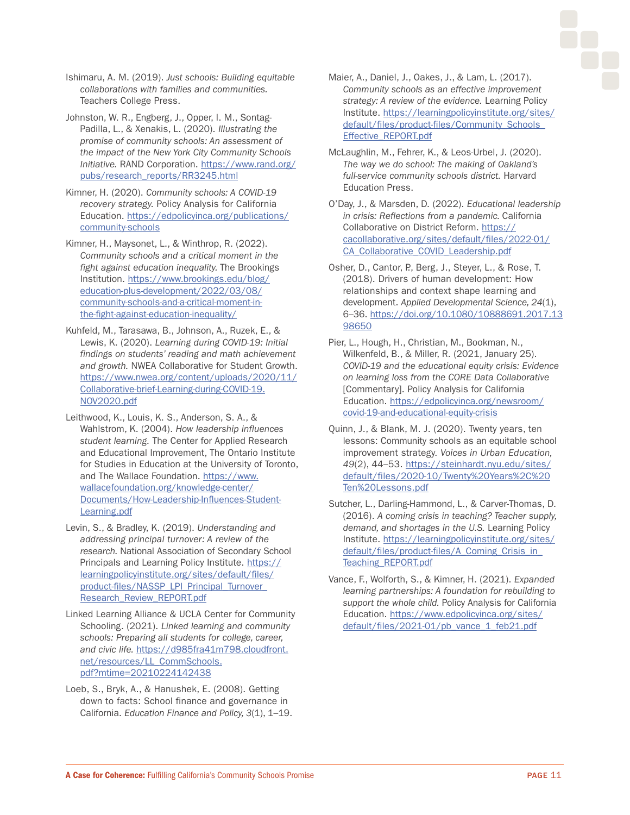Ishimaru, A. M. (2019). *Just schools: Building equitable collaborations with families and communities.* Teachers College Press.

Johnston, W. R., Engberg, J., Opper, I. M., Sontag-Padilla, L., & Xenakis, L. (2020). *Illustrating the promise of community schools: An assessment of the impact of the New York City Community Schools Initiative.* RAND Corporation. [https://www.rand.org/](https://www.rand.org/pubs/research_reports/RR3245.html) [pubs/research\\_reports/RR3245.html](https://www.rand.org/pubs/research_reports/RR3245.html)

Kimner, H. (2020). *Community schools: A COVID-19 recovery strategy.* Policy Analysis for California Education. [https://edpolicyinca.org/publications/](https://edpolicyinca.org/publications/community-schools) [community-schools](https://edpolicyinca.org/publications/community-schools)

Kimner, H., Maysonet, L., & Winthrop, R. (2022). *Community schools and a critical moment in the fight against education inequality.* The Brookings Institution. [https://www.brookings.edu/blog/](https://www.brookings.edu/blog/education-plus-development/2022/03/08/community-schools-and-a-critical-moment-in-the-fight-against-education-inequality/) [education-plus-development/2022/03/08/](https://www.brookings.edu/blog/education-plus-development/2022/03/08/community-schools-and-a-critical-moment-in-the-fight-against-education-inequality/) [community-schools-and-a-critical-moment-in](https://www.brookings.edu/blog/education-plus-development/2022/03/08/community-schools-and-a-critical-moment-in-the-fight-against-education-inequality/)[the-fight-against-education-inequality/](https://www.brookings.edu/blog/education-plus-development/2022/03/08/community-schools-and-a-critical-moment-in-the-fight-against-education-inequality/)

Kuhfeld, M., Tarasawa, B., Johnson, A., Ruzek, E., & Lewis, K. (2020). *Learning during COVID-19: Initial findings on students' reading and math achievement and growth.* NWEA Collaborative for Student Growth. [https://www.nwea.org/content/uploads/2020/11/](https://www.nwea.org/content/uploads/2020/11/Collaborative-brief-Learning-during-COVID-19.NOV2020.pdf) [Collaborative-brief-Learning-during-COVID-19.](https://www.nwea.org/content/uploads/2020/11/Collaborative-brief-Learning-during-COVID-19.NOV2020.pdf) [NOV2020.pdf](https://www.nwea.org/content/uploads/2020/11/Collaborative-brief-Learning-during-COVID-19.NOV2020.pdf)

Leithwood, K., Louis, K. S., Anderson, S. A., & Wahlstrom, K. (2004). *How leadership influences student learning.* The Center for Applied Research and Educational Improvement, The Ontario Institute for Studies in Education at the University of Toronto, and The Wallace Foundation. [https://www.](https://www.wallacefoundation.org/knowledge-center/Documents/How-Leadership-Influences-Student-Learning.pdf) [wallacefoundation.org/knowledge-center/](https://www.wallacefoundation.org/knowledge-center/Documents/How-Leadership-Influences-Student-Learning.pdf) [Documents/How-Leadership-Influences-Student-](https://www.wallacefoundation.org/knowledge-center/Documents/How-Leadership-Influences-Student-Learning.pdf)[Learning.pdf](https://www.wallacefoundation.org/knowledge-center/Documents/How-Leadership-Influences-Student-Learning.pdf)

Levin, S., & Bradley, K. (2019). *Understanding and addressing principal turnover: A review of the research.* National Association of Secondary School Principals and Learning Policy Institute. [https://](https://learningpolicyinstitute.org/sites/default/files/product-files/NASSP_LPI_Principal_Turnover_Research_Review_REPORT.pdf) [learningpolicyinstitute.org/sites/default/files/](https://learningpolicyinstitute.org/sites/default/files/product-files/NASSP_LPI_Principal_Turnover_Research_Review_REPORT.pdf) [product-files/NASSP\\_LPI\\_Principal\\_Turnover\\_](https://learningpolicyinstitute.org/sites/default/files/product-files/NASSP_LPI_Principal_Turnover_Research_Review_REPORT.pdf) [Research\\_Review\\_REPORT.pdf](https://learningpolicyinstitute.org/sites/default/files/product-files/NASSP_LPI_Principal_Turnover_Research_Review_REPORT.pdf)

Linked Learning Alliance & UCLA Center for Community Schooling. (2021). *Linked learning and community schools: Preparing all students for college, career, and civic life.* [https://d985fra41m798.cloudfront.](https://d985fra41m798.cloudfront.net/resources/LL_CommSchools.pdf?mtime=20210224142438) [net/resources/LL\\_CommSchools.](https://d985fra41m798.cloudfront.net/resources/LL_CommSchools.pdf?mtime=20210224142438) [pdf?mtime=20210224142438](https://d985fra41m798.cloudfront.net/resources/LL_CommSchools.pdf?mtime=20210224142438)

Loeb, S., Bryk, A., & Hanushek, E. (2008). Getting down to facts: School finance and governance in California. *Education Finance and Policy, 3*(1), 1–19.

- Maier, A., Daniel, J., Oakes, J., & Lam, L. (2017). *Community schools as an effective improvement strategy: A review of the evidence.* Learning Policy Institute. [https://learningpolicyinstitute.org/sites/](https://learningpolicyinstitute.org/sites/default/files/product-files/Community_Schools_Effective_REPORT.pdf) default/files/product-files/Community\_Schools [Effective\\_REPORT.pdf](https://learningpolicyinstitute.org/sites/default/files/product-files/Community_Schools_Effective_REPORT.pdf)
- McLaughlin, M., Fehrer, K., & Leos-Urbel, J. (2020). *The way we do school: The making of Oakland's full-service community schools district.* Harvard Education Press.
- O'Day, J., & Marsden, D. (2022). *Educational leadership in crisis: Reflections from a pandemic.* California Collaborative on District Reform. [https://](https://cacollaborative.org/sites/default/files/2022-01/CA_Collaborative_COVID_Leadership.pdf) [cacollaborative.org/sites/default/files/2022-01/](https://cacollaborative.org/sites/default/files/2022-01/CA_Collaborative_COVID_Leadership.pdf) [CA\\_Collaborative\\_COVID\\_Leadership.pdf](https://cacollaborative.org/sites/default/files/2022-01/CA_Collaborative_COVID_Leadership.pdf)

Osher, D., Cantor, P., Berg, J., Steyer, L., & Rose, T. (2018). Drivers of human development: How relationships and context shape learning and development. *Applied Developmental Science, 24*(1), 6–36. [https://doi.org/10.1080/10888691.2017.13](https://doi.org/10.1080/10888691.2017.1398650) [98650](https://doi.org/10.1080/10888691.2017.1398650)

Pier, L., Hough, H., Christian, M., Bookman, N., Wilkenfeld, B., & Miller, R. (2021, January 25). *COVID-19 and the educational equity crisis: Evidence on learning loss from the CORE Data Collaborative* [Commentary]. Policy Analysis for California Education. [https://edpolicyinca.org/newsroom/](https://edpolicyinca.org/newsroom/covid-19-and-educational-equity-crisis) [covid-19-and-educational-equity-crisis](https://edpolicyinca.org/newsroom/covid-19-and-educational-equity-crisis)

Quinn, J., & Blank, M. J. (2020). Twenty years, ten lessons: Community schools as an equitable school improvement strategy. *Voices in Urban Education, 49*(2), 44–53. [https://steinhardt.nyu.edu/sites/](https://steinhardt.nyu.edu/sites/default/files/2020-10/Twenty%20Years%2C%20Ten%20Lessons.pdf) [default/files/2020-10/Twenty%20Years%2C%20](https://steinhardt.nyu.edu/sites/default/files/2020-10/Twenty%20Years%2C%20Ten%20Lessons.pdf) [Ten%20Lessons.pdf](https://steinhardt.nyu.edu/sites/default/files/2020-10/Twenty%20Years%2C%20Ten%20Lessons.pdf)

- Sutcher, L., Darling-Hammond, L., & Carver-Thomas, D. (2016). *A coming crisis in teaching? Teacher supply, demand, and shortages in the U.S.* Learning Policy Institute. [https://learningpolicyinstitute.org/sites/](https://learningpolicyinstitute.org/sites/default/files/product-files/A_Coming_Crisis_in_Teaching_REPORT.pdf) [default/files/product-files/A\\_Coming\\_Crisis\\_in\\_](https://learningpolicyinstitute.org/sites/default/files/product-files/A_Coming_Crisis_in_Teaching_REPORT.pdf) [Teaching\\_REPORT.pdf](https://learningpolicyinstitute.org/sites/default/files/product-files/A_Coming_Crisis_in_Teaching_REPORT.pdf)
- Vance, F., Wolforth, S., & Kimner, H. (2021). *Expanded learning partnerships: A foundation for rebuilding to support the whole child.* Policy Analysis for California Education. [https://www.edpolicyinca.org/sites/](https://www.edpolicyinca.org/sites/default/files/2021-01/pb_vance_1_feb21.pdf) [default/files/2021-01/pb\\_vance\\_1\\_feb21.pdf](https://www.edpolicyinca.org/sites/default/files/2021-01/pb_vance_1_feb21.pdf)